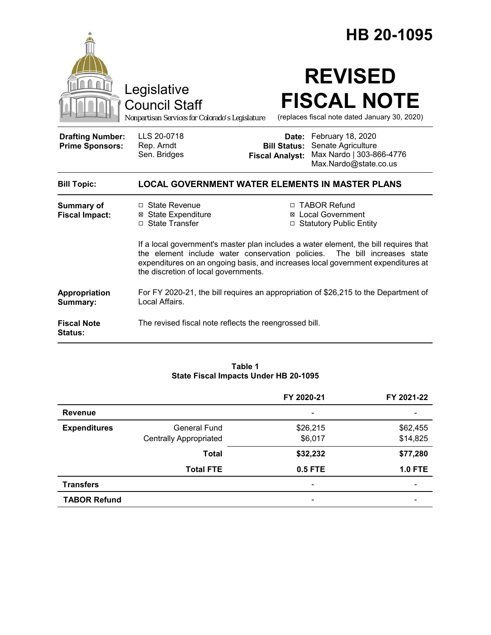|                                                   |                                                                                                                                                                                                                                                                                               | HB 20-1095                                                                                                                                          |  |  |
|---------------------------------------------------|-----------------------------------------------------------------------------------------------------------------------------------------------------------------------------------------------------------------------------------------------------------------------------------------------|-----------------------------------------------------------------------------------------------------------------------------------------------------|--|--|
|                                                   | Legislative<br><b>Council Staff</b><br>Nonpartisan Services for Colorado's Legislature                                                                                                                                                                                                        | <b>REVISED</b><br><b>FISCAL NOTE</b><br>(replaces fiscal note dated January 30, 2020)                                                               |  |  |
| <b>Drafting Number:</b><br><b>Prime Sponsors:</b> | LLS 20-0718<br>Rep. Arndt<br>Sen. Bridges                                                                                                                                                                                                                                                     | Date: February 18, 2020<br>Senate Agriculture<br><b>Bill Status:</b><br>Max Nardo   303-866-4776<br><b>Fiscal Analyst:</b><br>Max.Nardo@state.co.us |  |  |
| <b>Bill Topic:</b>                                | <b>LOCAL GOVERNMENT WATER ELEMENTS IN MASTER PLANS</b>                                                                                                                                                                                                                                        |                                                                                                                                                     |  |  |
| <b>Summary of</b><br><b>Fiscal Impact:</b>        | □ State Revenue<br><b>⊠</b> State Expenditure<br>□ State Transfer                                                                                                                                                                                                                             | □ TABOR Refund<br>⊠ Local Government<br>□ Statutory Public Entity                                                                                   |  |  |
|                                                   | If a local government's master plan includes a water element, the bill requires that<br>the element include water conservation policies. The bill increases state<br>expenditures on an ongoing basis, and increases local government expenditures at<br>the discretion of local governments. |                                                                                                                                                     |  |  |
| Appropriation<br>Summary:                         | For FY 2020-21, the bill requires an appropriation of \$26,215 to the Department of<br>Local Affairs.                                                                                                                                                                                         |                                                                                                                                                     |  |  |
| <b>Fiscal Note</b><br><b>Status:</b>              | The revised fiscal note reflects the reengrossed bill.                                                                                                                                                                                                                                        |                                                                                                                                                     |  |  |

#### **Table 1 State Fiscal Impacts Under HB 20-1095**

|                     |                               | FY 2020-21                   | FY 2021-22                   |
|---------------------|-------------------------------|------------------------------|------------------------------|
| <b>Revenue</b>      |                               | $\overline{\phantom{a}}$     | $\qquad \qquad \blacksquare$ |
| <b>Expenditures</b> | General Fund                  | \$26,215                     | \$62,455                     |
|                     | <b>Centrally Appropriated</b> | \$6,017                      | \$14,825                     |
|                     | <b>Total</b>                  | \$32,232                     | \$77,280                     |
|                     | <b>Total FTE</b>              | <b>0.5 FTE</b>               | <b>1.0 FTE</b>               |
| <b>Transfers</b>    |                               | $\qquad \qquad \blacksquare$ |                              |
| <b>TABOR Refund</b> |                               | $\qquad \qquad \blacksquare$ |                              |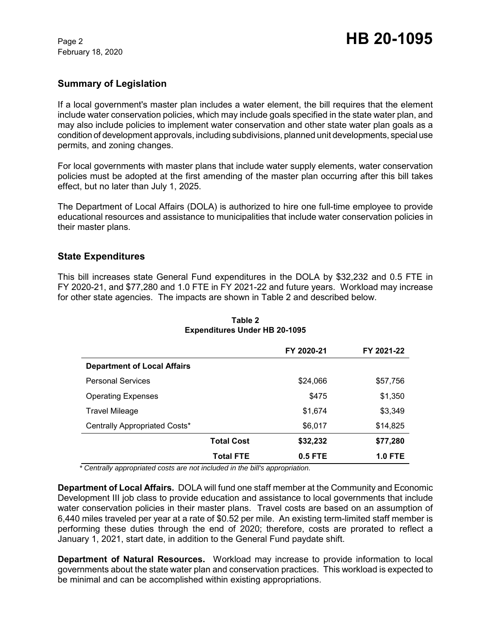February 18, 2020

# **Summary of Legislation**

If a local government's master plan includes a water element, the bill requires that the element include water conservation policies, which may include goals specified in the state water plan, and may also include policies to implement water conservation and other state water plan goals as a condition of development approvals, including subdivisions, planned unit developments, special use permits, and zoning changes.

For local governments with master plans that include water supply elements, water conservation policies must be adopted at the first amending of the master plan occurring after this bill takes effect, but no later than July 1, 2025.

The Department of Local Affairs (DOLA) is authorized to hire one full-time employee to provide educational resources and assistance to municipalities that include water conservation policies in their master plans.

## **State Expenditures**

This bill increases state General Fund expenditures in the DOLA by \$32,232 and 0.5 FTE in FY 2020-21, and \$77,280 and 1.0 FTE in FY 2021-22 and future years. Workload may increase for other state agencies. The impacts are shown in Table 2 and described below.

|                                    |                   | FY 2020-21 | FY 2021-22     |
|------------------------------------|-------------------|------------|----------------|
| <b>Department of Local Affairs</b> |                   |            |                |
| <b>Personal Services</b>           |                   | \$24,066   | \$57,756       |
| <b>Operating Expenses</b>          |                   | \$475      | \$1,350        |
| <b>Travel Mileage</b>              |                   | \$1,674    | \$3,349        |
| Centrally Appropriated Costs*      |                   | \$6,017    | \$14,825       |
|                                    | <b>Total Cost</b> | \$32,232   | \$77,280       |
|                                    | <b>Total FTE</b>  | $0.5$ FTE  | <b>1.0 FTE</b> |

**Table 2 Expenditures Under HB 20-1095**

 *\* Centrally appropriated costs are not included in the bill's appropriation.*

**Department of Local Affairs.** DOLA will fund one staff member at the Community and Economic Development III job class to provide education and assistance to local governments that include water conservation policies in their master plans. Travel costs are based on an assumption of 6,440 miles traveled per year at a rate of \$0.52 per mile. An existing term-limited staff member is performing these duties through the end of 2020; therefore, costs are prorated to reflect a January 1, 2021, start date, in addition to the General Fund paydate shift.

**Department of Natural Resources.** Workload may increase to provide information to local governments about the state water plan and conservation practices. This workload is expected to be minimal and can be accomplished within existing appropriations.